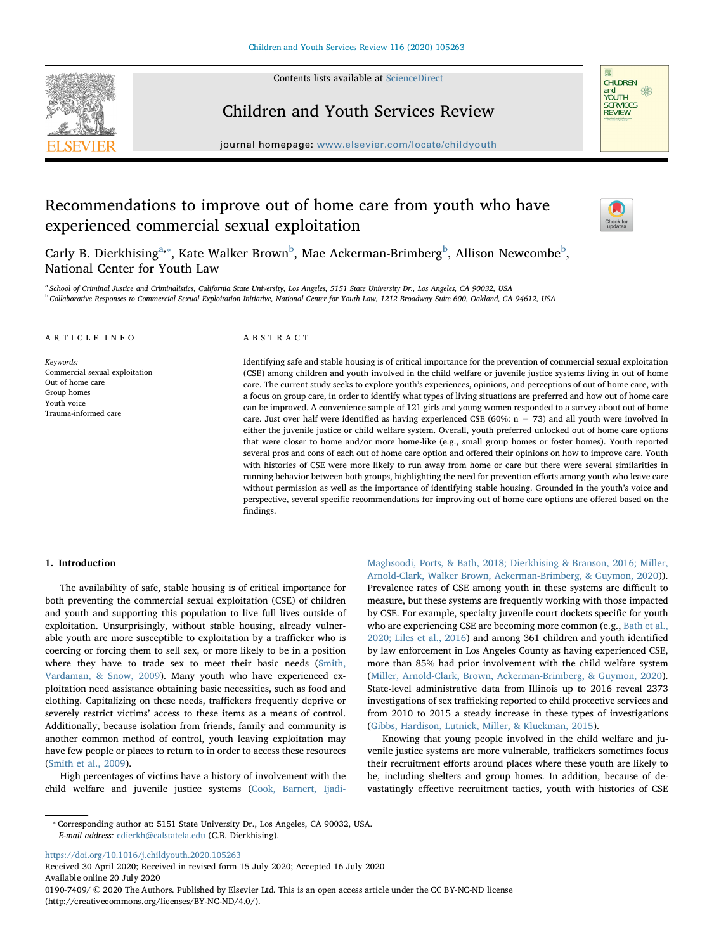

Contents lists available at [ScienceDirect](http://www.sciencedirect.com/science/journal/01907409)

# Children and Youth Services Review



journal homepage: [www.elsevier.com/locate/childyouth](https://www.elsevier.com/locate/childyouth)

# Recommendations to improve out of home care from youth who have experienced commercial sexual exploitation



Carly B. Dierkhising $^{\mathrm{a},*}$ , Kate Walker Brown $^{\mathrm{b}}$  $^{\mathrm{b}}$  $^{\mathrm{b}}$ , Mae Ackerman-Brimberg $^{\mathrm{b}}$ , Allison Newcombe $^{\mathrm{b}}$ , National Center for Youth Law

<span id="page-0-2"></span><span id="page-0-0"></span>a School of Criminal Justice and Criminalistics, California State University, Los Angeles, 5151 State University Dr., Los Angeles, CA 90032, USA <sup>b</sup> Collaborative Responses to Commercial Sexual Exploitation Initiative, National Center for Youth Law, 1212 Broadway Suite 600, Oakland, CA 94612, USA

# ARTICLE INFO

Keywords: Commercial sexual exploitation Out of home care Group homes Youth voice Trauma-informed care

### ABSTRACT

Identifying safe and stable housing is of critical importance for the prevention of commercial sexual exploitation (CSE) among children and youth involved in the child welfare or juvenile justice systems living in out of home care. The current study seeks to explore youth's experiences, opinions, and perceptions of out of home care, with a focus on group care, in order to identify what types of living situations are preferred and how out of home care can be improved. A convenience sample of 121 girls and young women responded to a survey about out of home care. Just over half were identified as having experienced CSE (60%:  $n = 73$ ) and all youth were involved in either the juvenile justice or child welfare system. Overall, youth preferred unlocked out of home care options that were closer to home and/or more home-like (e.g., small group homes or foster homes). Youth reported several pros and cons of each out of home care option and offered their opinions on how to improve care. Youth with histories of CSE were more likely to run away from home or care but there were several similarities in running behavior between both groups, highlighting the need for prevention efforts among youth who leave care without permission as well as the importance of identifying stable housing. Grounded in the youth's voice and perspective, several specific recommendations for improving out of home care options are offered based on the findings.

# 1. Introduction

The availability of safe, stable housing is of critical importance for both preventing the commercial sexual exploitation (CSE) of children and youth and supporting this population to live full lives outside of exploitation. Unsurprisingly, without stable housing, already vulnerable youth are more susceptible to exploitation by a trafficker who is coercing or forcing them to sell sex, or more likely to be in a position where they have to trade sex to meet their basic needs ([Smith,](#page-7-0) [Vardaman, & Snow, 2009\)](#page-7-0). Many youth who have experienced exploitation need assistance obtaining basic necessities, such as food and clothing. Capitalizing on these needs, traffickers frequently deprive or severely restrict victims' access to these items as a means of control. Additionally, because isolation from friends, family and community is another common method of control, youth leaving exploitation may have few people or places to return to in order to access these resources ([Smith et al., 2009\)](#page-7-0).

High percentages of victims have a history of involvement with the child welfare and juvenile justice systems [\(Cook, Barnert, Ijadi-](#page-6-0)

[Maghsoodi, Ports, & Bath, 2018; Dierkhising & Branson, 2016; Miller,](#page-6-0) [Arnold-Clark, Walker Brown, Ackerman-Brimberg, & Guymon, 2020](#page-6-0))). Prevalence rates of CSE among youth in these systems are difficult to measure, but these systems are frequently working with those impacted by CSE. For example, specialty juvenile court dockets specific for youth who are experiencing CSE are becoming more common (e.g., [Bath et al.,](#page-6-1) [2020; Liles et al., 2016](#page-6-1)) and among 361 children and youth identified by law enforcement in Los Angeles County as having experienced CSE, more than 85% had prior involvement with the child welfare system ([Miller, Arnold-Clark, Brown, Ackerman-Brimberg, & Guymon, 2020](#page-7-1)). State-level administrative data from Illinois up to 2016 reveal 2373 investigations of sex trafficking reported to child protective services and from 2010 to 2015 a steady increase in these types of investigations ([Gibbs, Hardison, Lutnick, Miller, & Kluckman, 2015](#page-6-2)).

Knowing that young people involved in the child welfare and juvenile justice systems are more vulnerable, traffickers sometimes focus their recruitment efforts around places where these youth are likely to be, including shelters and group homes. In addition, because of devastatingly effective recruitment tactics, youth with histories of CSE

<https://doi.org/10.1016/j.childyouth.2020.105263>

Received 30 April 2020; Received in revised form 15 July 2020; Accepted 16 July 2020 Available online 20 July 2020

0190-7409/ © 2020 The Authors. Published by Elsevier Ltd. This is an open access article under the CC BY-NC-ND license (http://creativecommons.org/licenses/BY-NC-ND/4.0/).

<span id="page-0-1"></span><sup>⁎</sup> Corresponding author at: 5151 State University Dr., Los Angeles, CA 90032, USA. E-mail address: [cdierkh@calstatela.edu](mailto:cdierkh@calstatela.edu) (C.B. Dierkhising).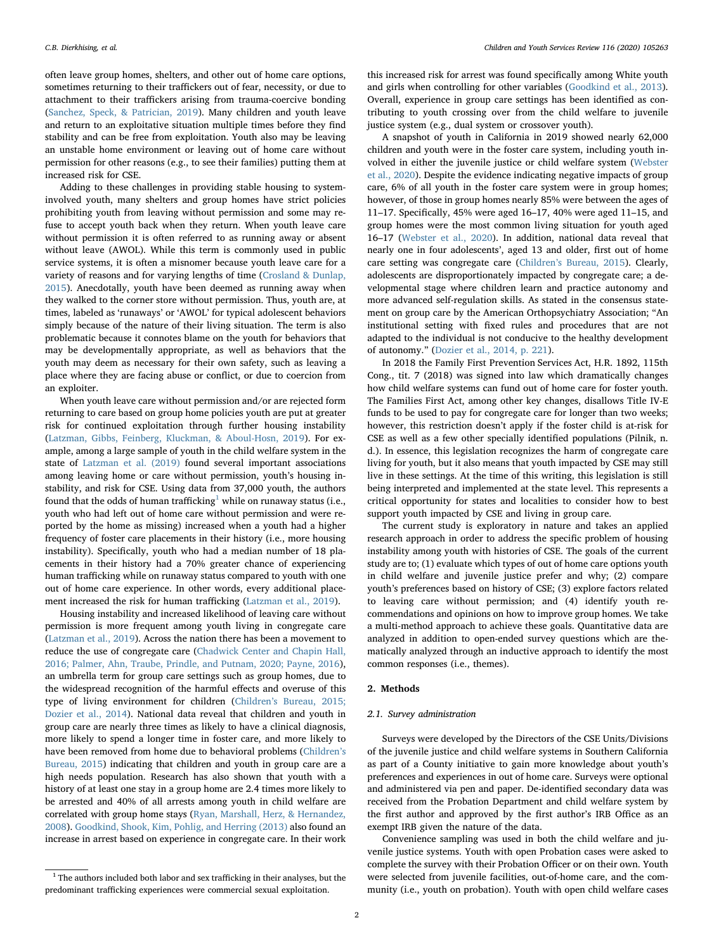often leave group homes, shelters, and other out of home care options, sometimes returning to their traffickers out of fear, necessity, or due to attachment to their traffickers arising from trauma-coercive bonding ([Sanchez, Speck, & Patrician, 2019](#page-7-2)). Many children and youth leave and return to an exploitative situation multiple times before they find stability and can be free from exploitation. Youth also may be leaving an unstable home environment or leaving out of home care without permission for other reasons (e.g., to see their families) putting them at increased risk for CSE.

Adding to these challenges in providing stable housing to systeminvolved youth, many shelters and group homes have strict policies prohibiting youth from leaving without permission and some may refuse to accept youth back when they return. When youth leave care without permission it is often referred to as running away or absent without leave (AWOL). While this term is commonly used in public service systems, it is often a misnomer because youth leave care for a variety of reasons and for varying lengths of time [\(Crosland & Dunlap,](#page-6-3) [2015\)](#page-6-3). Anecdotally, youth have been deemed as running away when they walked to the corner store without permission. Thus, youth are, at times, labeled as 'runaways' or 'AWOL' for typical adolescent behaviors simply because of the nature of their living situation. The term is also problematic because it connotes blame on the youth for behaviors that may be developmentally appropriate, as well as behaviors that the youth may deem as necessary for their own safety, such as leaving a place where they are facing abuse or conflict, or due to coercion from an exploiter.

When youth leave care without permission and/or are rejected form returning to care based on group home policies youth are put at greater risk for continued exploitation through further housing instability ([Latzman, Gibbs, Feinberg, Kluckman, & Aboul-Hosn, 2019](#page-7-3)). For example, among a large sample of youth in the child welfare system in the state of [Latzman et al. \(2019\)](#page-7-3) found several important associations among leaving home or care without permission, youth's housing instability, and risk for CSE. Using data from 37,000 youth, the authors found that the odds of human trafficking<sup>[1](#page-1-0)</sup> while on runaway status (i.e., youth who had left out of home care without permission and were reported by the home as missing) increased when a youth had a higher frequency of foster care placements in their history (i.e., more housing instability). Specifically, youth who had a median number of 18 placements in their history had a 70% greater chance of experiencing human trafficking while on runaway status compared to youth with one out of home care experience. In other words, every additional placement increased the risk for human trafficking ([Latzman et al., 2019](#page-7-3)).

Housing instability and increased likelihood of leaving care without permission is more frequent among youth living in congregate care ([Latzman et al., 2019](#page-7-3)). Across the nation there has been a movement to reduce the use of congregate care [\(Chadwick Center and Chapin Hall,](#page-6-4) [2016; Palmer, Ahn, Traube, Prindle, and Putnam, 2020; Payne, 2016](#page-6-4)), an umbrella term for group care settings such as group homes, due to the widespread recognition of the harmful effects and overuse of this type of living environment for children (Children'[s Bureau, 2015;](#page-6-5) [Dozier et al., 2014](#page-6-5)). National data reveal that children and youth in group care are nearly three times as likely to have a clinical diagnosis, more likely to spend a longer time in foster care, and more likely to have been removed from home due to behavioral problems [\(Children](#page-6-5)'s [Bureau, 2015\)](#page-6-5) indicating that children and youth in group care are a high needs population. Research has also shown that youth with a history of at least one stay in a group home are 2.4 times more likely to be arrested and 40% of all arrests among youth in child welfare are correlated with group home stays [\(Ryan, Marshall, Herz, & Hernandez,](#page-7-4) [2008\)](#page-7-4). [Goodkind, Shook, Kim, Pohlig, and Herring \(2013\)](#page-7-5) also found an increase in arrest based on experience in congregate care. In their work

this increased risk for arrest was found specifically among White youth and girls when controlling for other variables ([Goodkind et al., 2013](#page-7-5)). Overall, experience in group care settings has been identified as contributing to youth crossing over from the child welfare to juvenile justice system (e.g., dual system or crossover youth).

A snapshot of youth in California in 2019 showed nearly 62,000 children and youth were in the foster care system, including youth involved in either the juvenile justice or child welfare system ([Webster](#page-7-6) [et al., 2020](#page-7-6)). Despite the evidence indicating negative impacts of group care, 6% of all youth in the foster care system were in group homes; however, of those in group homes nearly 85% were between the ages of 11–17. Specifically, 45% were aged 16–17, 40% were aged 11–15, and group homes were the most common living situation for youth aged 16–17 [\(Webster et al., 2020\)](#page-7-6). In addition, national data reveal that nearly one in four adolescents', aged 13 and older, first out of home care setting was congregate care (Children'[s Bureau, 2015](#page-6-5)). Clearly, adolescents are disproportionately impacted by congregate care; a developmental stage where children learn and practice autonomy and more advanced self-regulation skills. As stated in the consensus statement on group care by the American Orthopsychiatry Association; "An institutional setting with fixed rules and procedures that are not adapted to the individual is not conducive to the healthy development of autonomy." [\(Dozier et al., 2014, p. 221](#page-6-6)).

In 2018 the Family First Prevention Services Act, H.R. 1892, 115th Cong., tit. 7 (2018) was signed into law which dramatically changes how child welfare systems can fund out of home care for foster youth. The Families First Act, among other key changes, disallows Title IV-E funds to be used to pay for congregate care for longer than two weeks; however, this restriction doesn't apply if the foster child is at-risk for CSE as well as a few other specially identified populations (Pilnik, n. d.). In essence, this legislation recognizes the harm of congregate care living for youth, but it also means that youth impacted by CSE may still live in these settings. At the time of this writing, this legislation is still being interpreted and implemented at the state level. This represents a critical opportunity for states and localities to consider how to best support youth impacted by CSE and living in group care.

The current study is exploratory in nature and takes an applied research approach in order to address the specific problem of housing instability among youth with histories of CSE. The goals of the current study are to; (1) evaluate which types of out of home care options youth in child welfare and juvenile justice prefer and why; (2) compare youth's preferences based on history of CSE; (3) explore factors related to leaving care without permission; and (4) identify youth recommendations and opinions on how to improve group homes. We take a multi-method approach to achieve these goals. Quantitative data are analyzed in addition to open-ended survey questions which are thematically analyzed through an inductive approach to identify the most common responses (i.e., themes).

# 2. Methods

# 2.1. Survey administration

Surveys were developed by the Directors of the CSE Units/Divisions of the juvenile justice and child welfare systems in Southern California as part of a County initiative to gain more knowledge about youth's preferences and experiences in out of home care. Surveys were optional and administered via pen and paper. De-identified secondary data was received from the Probation Department and child welfare system by the first author and approved by the first author's IRB Office as an exempt IRB given the nature of the data.

Convenience sampling was used in both the child welfare and juvenile justice systems. Youth with open Probation cases were asked to complete the survey with their Probation Officer or on their own. Youth were selected from juvenile facilities, out-of-home care, and the community (i.e., youth on probation). Youth with open child welfare cases

<span id="page-1-0"></span> $1$ <sup>1</sup> The authors included both labor and sex trafficking in their analyses, but the predominant trafficking experiences were commercial sexual exploitation.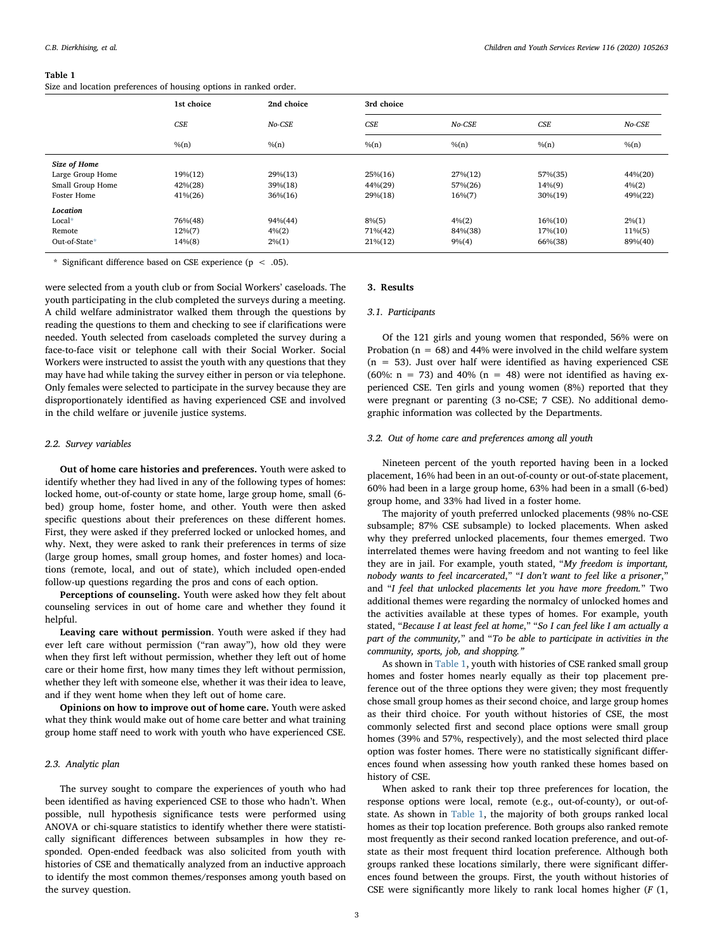#### <span id="page-2-0"></span>Table 1

Size and location preferences of housing options in ranked order.

|                  | 1st choice | 2nd choice | 3rd choice |           |            |           |
|------------------|------------|------------|------------|-----------|------------|-----------|
|                  | CSE        | $No-CSE$   | CSE        | $No-CSE$  | CSE        | $No-CSE$  |
|                  | $\%$ (n)   | $\%$ (n)   | $\%$ (n)   | $\%$ (n)  | $\%$ (n)   | $%$ (n)   |
| Size of Home     |            |            |            |           |            |           |
| Large Group Home | 19%(12)    | $29\%(13)$ | $25\%(16)$ | 27%(12)   | 57%(35)    | 44%(20)   |
| Small Group Home | $42\%(28)$ | $39\%(18)$ | 44%(29)    | 57%(26)   | 14%(9)     | 4% (2)    |
| Foster Home      | $41\%(26)$ | $36\%(16)$ | $29\%(18)$ | $16\%(7)$ | $30\%(19)$ | 49%(22)   |
| Location         |            |            |            |           |            |           |
| Local*           | 76%(48)    | 94%(44)    | $8\%(5)$   | 4% (2)    | $16\%(10)$ | $2\%(1)$  |
| Remote           | $12\%(7)$  | 4% (2)     | 71%(42)    | 84%(38)   | $17\%(10)$ | $11\%(5)$ |
| Out-of-State*    | 14%(8)     | $2\%(1)$   | $21\%(12)$ | 9% (4)    | 66%(38)    | 89%(40)   |

<span id="page-2-1"></span>\* Significant difference based on CSE experience (p < .05).

were selected from a youth club or from Social Workers' caseloads. The youth participating in the club completed the surveys during a meeting. A child welfare administrator walked them through the questions by reading the questions to them and checking to see if clarifications were needed. Youth selected from caseloads completed the survey during a face-to-face visit or telephone call with their Social Worker. Social Workers were instructed to assist the youth with any questions that they may have had while taking the survey either in person or via telephone. Only females were selected to participate in the survey because they are disproportionately identified as having experienced CSE and involved in the child welfare or juvenile justice systems.

# 2.2. Survey variables

Out of home care histories and preferences. Youth were asked to identify whether they had lived in any of the following types of homes: locked home, out-of-county or state home, large group home, small (6 bed) group home, foster home, and other. Youth were then asked specific questions about their preferences on these different homes. First, they were asked if they preferred locked or unlocked homes, and why. Next, they were asked to rank their preferences in terms of size (large group homes, small group homes, and foster homes) and locations (remote, local, and out of state), which included open-ended follow-up questions regarding the pros and cons of each option.

Perceptions of counseling. Youth were asked how they felt about counseling services in out of home care and whether they found it helpful.

Leaving care without permission. Youth were asked if they had ever left care without permission ("ran away"), how old they were when they first left without permission, whether they left out of home care or their home first, how many times they left without permission, whether they left with someone else, whether it was their idea to leave, and if they went home when they left out of home care.

Opinions on how to improve out of home care. Youth were asked what they think would make out of home care better and what training group home staff need to work with youth who have experienced CSE.

# 2.3. Analytic plan

The survey sought to compare the experiences of youth who had been identified as having experienced CSE to those who hadn't. When possible, null hypothesis significance tests were performed using ANOVA or chi-square statistics to identify whether there were statistically significant differences between subsamples in how they responded. Open-ended feedback was also solicited from youth with histories of CSE and thematically analyzed from an inductive approach to identify the most common themes/responses among youth based on the survey question.

# 3. Results

#### 3.1. Participants

Of the 121 girls and young women that responded, 56% were on Probation ( $n = 68$ ) and 44% were involved in the child welfare system  $(n = 53)$ . Just over half were identified as having experienced CSE (60%:  $n = 73$ ) and 40% ( $n = 48$ ) were not identified as having experienced CSE. Ten girls and young women (8%) reported that they were pregnant or parenting (3 no-CSE; 7 CSE). No additional demographic information was collected by the Departments.

# 3.2. Out of home care and preferences among all youth

Nineteen percent of the youth reported having been in a locked placement, 16% had been in an out-of-county or out-of-state placement, 60% had been in a large group home, 63% had been in a small (6-bed) group home, and 33% had lived in a foster home.

The majority of youth preferred unlocked placements (98% no-CSE subsample; 87% CSE subsample) to locked placements. When asked why they preferred unlocked placements, four themes emerged. Two interrelated themes were having freedom and not wanting to feel like they are in jail. For example, youth stated, "My freedom is important, nobody wants to feel incarcerated," "I don't want to feel like a prisoner," and "I feel that unlocked placements let you have more freedom." Two additional themes were regarding the normalcy of unlocked homes and the activities available at these types of homes. For example, youth stated, "Because I at least feel at home," "So I can feel like I am actually a part of the community," and "To be able to participate in activities in the community, sports, job, and shopping."

As shown in [Table 1](#page-2-0), youth with histories of CSE ranked small group homes and foster homes nearly equally as their top placement preference out of the three options they were given; they most frequently chose small group homes as their second choice, and large group homes as their third choice. For youth without histories of CSE, the most commonly selected first and second place options were small group homes (39% and 57%, respectively), and the most selected third place option was foster homes. There were no statistically significant differences found when assessing how youth ranked these homes based on history of CSE.

When asked to rank their top three preferences for location, the response options were local, remote (e.g., out-of-county), or out-ofstate. As shown in [Table 1,](#page-2-0) the majority of both groups ranked local homes as their top location preference. Both groups also ranked remote most frequently as their second ranked location preference, and out-ofstate as their most frequent third location preference. Although both groups ranked these locations similarly, there were significant differences found between the groups. First, the youth without histories of CSE were significantly more likely to rank local homes higher  $(F(1,$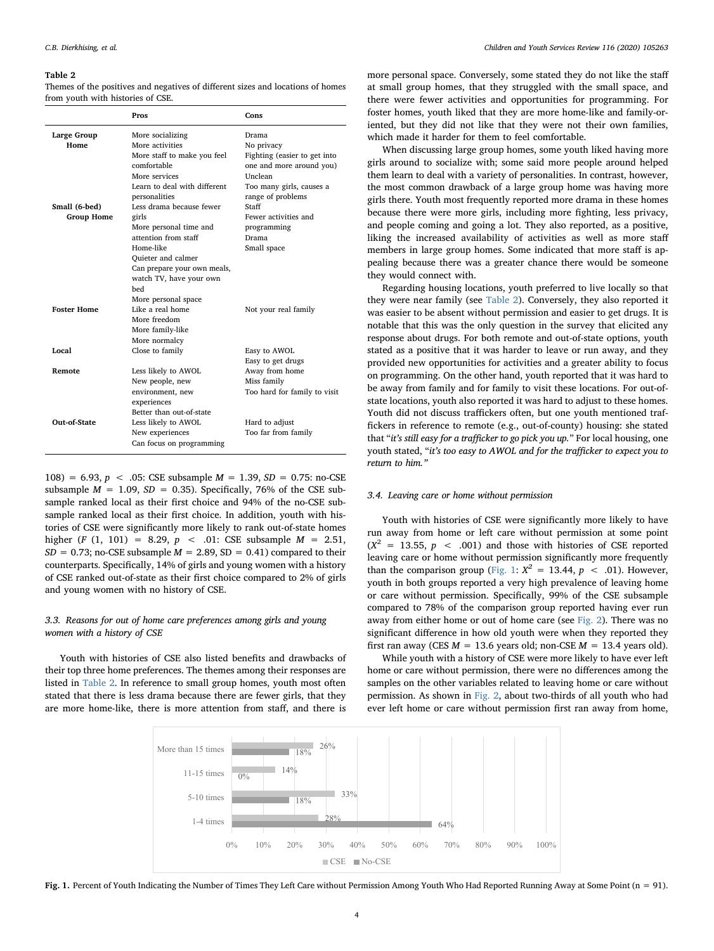#### <span id="page-3-0"></span>Table 2

Themes of the positives and negatives of different sizes and locations of homes from youth with histories of CSE.

|                    | Pros                         | Cons                         |  |
|--------------------|------------------------------|------------------------------|--|
| Large Group        | More socializing             | Drama                        |  |
| Home               | More activities              | No privacy                   |  |
|                    | More staff to make you feel  | Fighting (easier to get into |  |
|                    | comfortable                  | one and more around you)     |  |
|                    | More services                | Unclean                      |  |
|                    | Learn to deal with different | Too many girls, causes a     |  |
|                    | personalities                | range of problems            |  |
| Small (6-bed)      | Less drama because fewer     | Staff                        |  |
| <b>Group Home</b>  | girls                        | Fewer activities and         |  |
|                    | More personal time and       | programming                  |  |
|                    | attention from staff         | Drama                        |  |
|                    | Home-like                    | Small space                  |  |
|                    | Ouieter and calmer           |                              |  |
|                    | Can prepare your own meals,  |                              |  |
|                    | watch TV, have your own      |                              |  |
|                    | bed                          |                              |  |
|                    | More personal space          |                              |  |
| <b>Foster Home</b> | Like a real home             | Not your real family         |  |
|                    | More freedom                 |                              |  |
|                    | More family-like             |                              |  |
|                    | More normalcy                |                              |  |
| Local              | Close to family              | Easy to AWOL                 |  |
|                    |                              | Easy to get drugs            |  |
| Remote             | Less likely to AWOL          | Away from home               |  |
|                    | New people, new              | Miss family                  |  |
|                    | environment, new             | Too hard for family to visit |  |
|                    | experiences                  |                              |  |
|                    | Better than out-of-state     |                              |  |
| Out-of-State       | Less likely to AWOL          | Hard to adjust               |  |
|                    | New experiences              | Too far from family          |  |
|                    | Can focus on programming     |                              |  |

108) = 6.93,  $p < .05$ : CSE subsample  $M = 1.39$ ,  $SD = 0.75$ : no-CSE subsample  $M = 1.09$ ,  $SD = 0.35$ ). Specifically, 76% of the CSE subsample ranked local as their first choice and 94% of the no-CSE subsample ranked local as their first choice. In addition, youth with histories of CSE were significantly more likely to rank out-of-state homes higher (F (1, 101) = 8.29,  $p$  < .01: CSE subsample  $M = 2.51$ ,  $SD = 0.73$ ; no-CSE subsample  $M = 2.89$ , SD = 0.41) compared to their counterparts. Specifically, 14% of girls and young women with a history of CSE ranked out-of-state as their first choice compared to 2% of girls and young women with no history of CSE.

# 3.3. Reasons for out of home care preferences among girls and young women with a history of CSE

<span id="page-3-1"></span>Youth with histories of CSE also listed benefits and drawbacks of their top three home preferences. The themes among their responses are listed in [Table 2.](#page-3-0) In reference to small group homes, youth most often stated that there is less drama because there are fewer girls, that they are more home-like, there is more attention from staff, and there is

more personal space. Conversely, some stated they do not like the staff at small group homes, that they struggled with the small space, and there were fewer activities and opportunities for programming. For foster homes, youth liked that they are more home-like and family-oriented, but they did not like that they were not their own families, which made it harder for them to feel comfortable.

When discussing large group homes, some youth liked having more girls around to socialize with; some said more people around helped them learn to deal with a variety of personalities. In contrast, however, the most common drawback of a large group home was having more girls there. Youth most frequently reported more drama in these homes because there were more girls, including more fighting, less privacy, and people coming and going a lot. They also reported, as a positive, liking the increased availability of activities as well as more staff members in large group homes. Some indicated that more staff is appealing because there was a greater chance there would be someone they would connect with.

Regarding housing locations, youth preferred to live locally so that they were near family (see [Table 2\)](#page-3-0). Conversely, they also reported it was easier to be absent without permission and easier to get drugs. It is notable that this was the only question in the survey that elicited any response about drugs. For both remote and out-of-state options, youth stated as a positive that it was harder to leave or run away, and they provided new opportunities for activities and a greater ability to focus on programming. On the other hand, youth reported that it was hard to be away from family and for family to visit these locations. For out-ofstate locations, youth also reported it was hard to adjust to these homes. Youth did not discuss traffickers often, but one youth mentioned traffickers in reference to remote (e.g., out-of-county) housing: she stated that "it's still easy for a trafficker to go pick you up." For local housing, one youth stated, "it's too easy to AWOL and for the trafficker to expect you to return to him."

#### 3.4. Leaving care or home without permission

Youth with histories of CSE were significantly more likely to have run away from home or left care without permission at some point  $(X^2 = 13.55, p \leq .001)$  and those with histories of CSE reported leaving care or home without permission significantly more frequently than the comparison group ([Fig. 1:](#page-3-1)  $X^2 = 13.44$ ,  $p \le 0.01$ ). However, youth in both groups reported a very high prevalence of leaving home or care without permission. Specifically, 99% of the CSE subsample compared to 78% of the comparison group reported having ever run away from either home or out of home care (see [Fig. 2](#page-4-0)). There was no significant difference in how old youth were when they reported they first ran away (CES  $M = 13.6$  years old; non-CSE  $M = 13.4$  years old).

While youth with a history of CSE were more likely to have ever left home or care without permission, there were no differences among the samples on the other variables related to leaving home or care without permission. As shown in [Fig. 2](#page-4-0), about two-thirds of all youth who had ever left home or care without permission first ran away from home,



Fig. 1. Percent of Youth Indicating the Number of Times They Left Care without Permission Among Youth Who Had Reported Running Away at Some Point (n = 91).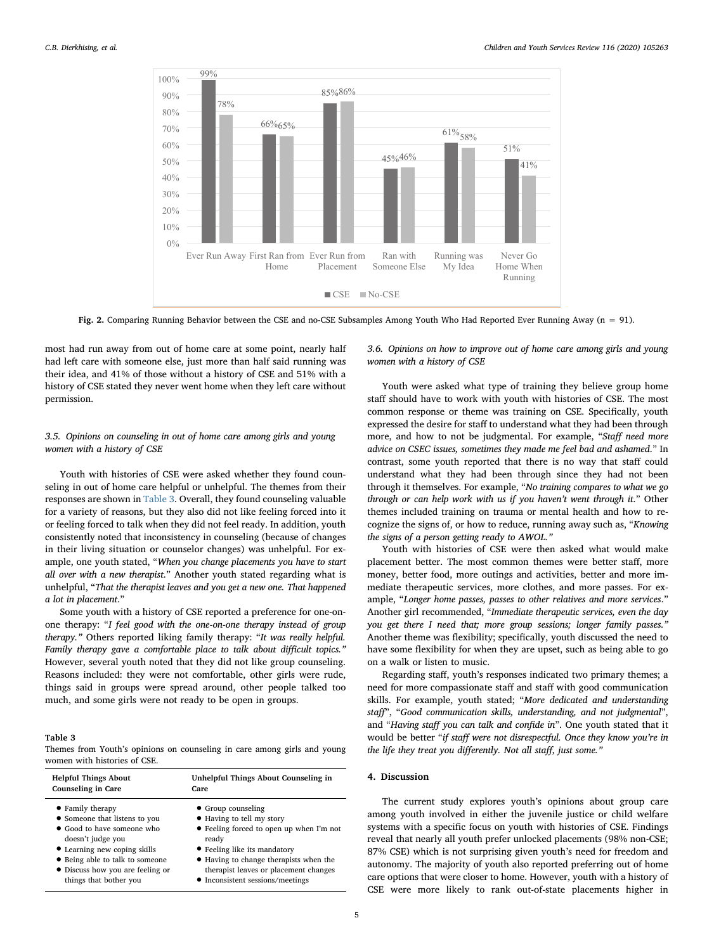<span id="page-4-0"></span>

Fig. 2. Comparing Running Behavior between the CSE and no-CSE Subsamples Among Youth Who Had Reported Ever Running Away ( $n = 91$ ).

most had run away from out of home care at some point, nearly half had left care with someone else, just more than half said running was their idea, and 41% of those without a history of CSE and 51% with a history of CSE stated they never went home when they left care without permission.

# 3.5. Opinions on counseling in out of home care among girls and young women with a history of CSE

Youth with histories of CSE were asked whether they found counseling in out of home care helpful or unhelpful. The themes from their responses are shown in [Table 3.](#page-4-1) Overall, they found counseling valuable for a variety of reasons, but they also did not like feeling forced into it or feeling forced to talk when they did not feel ready. In addition, youth consistently noted that inconsistency in counseling (because of changes in their living situation or counselor changes) was unhelpful. For example, one youth stated, "When you change placements you have to start all over with a new therapist." Another youth stated regarding what is unhelpful, "That the therapist leaves and you get a new one. That happened a lot in placement."

Some youth with a history of CSE reported a preference for one-onone therapy: "I feel good with the one-on-one therapy instead of group therapy." Others reported liking family therapy: "It was really helpful. Family therapy gave a comfortable place to talk about difficult topics." However, several youth noted that they did not like group counseling. Reasons included: they were not comfortable, other girls were rude, things said in groups were spread around, other people talked too much, and some girls were not ready to be open in groups.

#### <span id="page-4-1"></span>Table 3

Themes from Youth's opinions on counseling in care among girls and young women with histories of CSE.

| <b>Helpful Things About</b>      | Unhelpful Things About Counseling in     |
|----------------------------------|------------------------------------------|
| Counseling in Care               | Care                                     |
| • Family therapy                 | • Group counseling                       |
| • Someone that listens to you    | • Having to tell my story                |
| • Good to have someone who       | • Feeling forced to open up when I'm not |
| doesn't judge you                | ready                                    |
| • Learning new coping skills     | • Feeling like its mandatory             |
| • Being able to talk to someone  | • Having to change therapists when the   |
| • Discuss how you are feeling or | therapist leaves or placement changes    |
| things that bother you           | • Inconsistent sessions/meetings         |

3.6. Opinions on how to improve out of home care among girls and young women with a history of CSE

Youth were asked what type of training they believe group home staff should have to work with youth with histories of CSE. The most common response or theme was training on CSE. Specifically, youth expressed the desire for staff to understand what they had been through more, and how to not be judgmental. For example, "Staff need more advice on CSEC issues, sometimes they made me feel bad and ashamed." In contrast, some youth reported that there is no way that staff could understand what they had been through since they had not been through it themselves. For example, "No training compares to what we go through or can help work with us if you haven't went through it." Other themes included training on trauma or mental health and how to recognize the signs of, or how to reduce, running away such as, "Knowing the signs of a person getting ready to AWOL."

Youth with histories of CSE were then asked what would make placement better. The most common themes were better staff, more money, better food, more outings and activities, better and more immediate therapeutic services, more clothes, and more passes. For example, "Longer home passes, passes to other relatives and more services." Another girl recommended, "Immediate therapeutic services, even the day you get there I need that; more group sessions; longer family passes." Another theme was flexibility; specifically, youth discussed the need to have some flexibility for when they are upset, such as being able to go on a walk or listen to music.

Regarding staff, youth's responses indicated two primary themes; a need for more compassionate staff and staff with good communication skills. For example, youth stated; "More dedicated and understanding staff", "Good communication skills, understanding, and not judgmental", and "Having staff you can talk and confide in". One youth stated that it would be better "if staff were not disrespectful. Once they know you're in the life they treat you differently. Not all staff, just some."

# 4. Discussion

The current study explores youth's opinions about group care among youth involved in either the juvenile justice or child welfare systems with a specific focus on youth with histories of CSE. Findings reveal that nearly all youth prefer unlocked placements (98% non-CSE; 87% CSE) which is not surprising given youth's need for freedom and autonomy. The majority of youth also reported preferring out of home care options that were closer to home. However, youth with a history of CSE were more likely to rank out-of-state placements higher in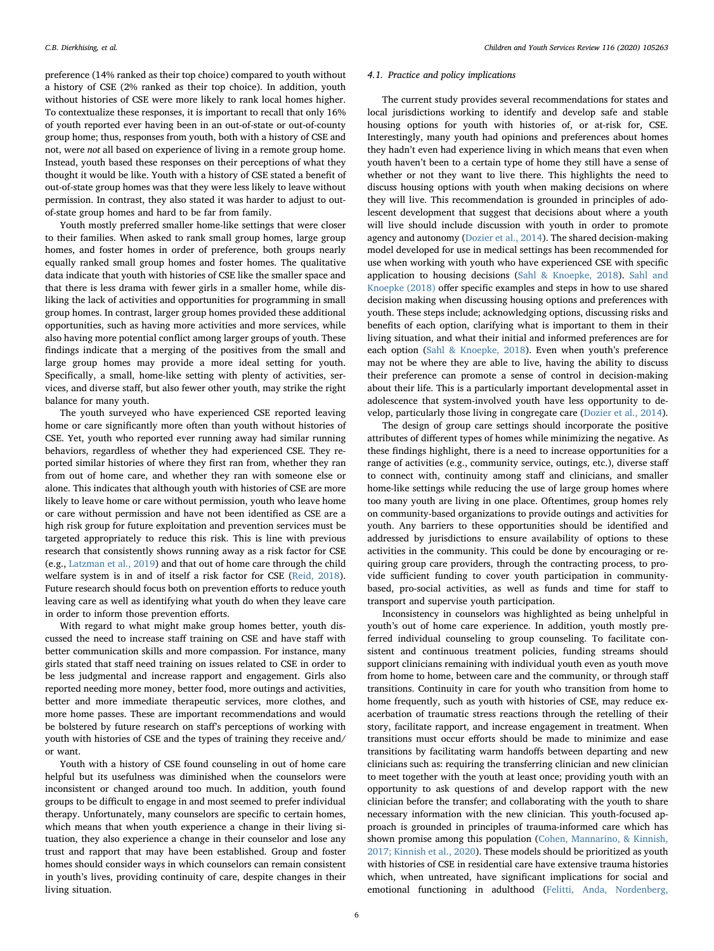preference (14% ranked as their top choice) compared to youth without a history of CSE (2% ranked as their top choice). In addition, youth without histories of CSE were more likely to rank local homes higher. To contextualize these responses, it is important to recall that only 16% of youth reported ever having been in an out-of-state or out-of-county group home; thus, responses from youth, both with a history of CSE and not, were not all based on experience of living in a remote group home. Instead, youth based these responses on their perceptions of what they thought it would be like. Youth with a history of CSE stated a benefit of out-of-state group homes was that they were less likely to leave without permission. In contrast, they also stated it was harder to adjust to outof-state group homes and hard to be far from family.

Youth mostly preferred smaller home-like settings that were closer to their families. When asked to rank small group homes, large group homes, and foster homes in order of preference, both groups nearly equally ranked small group homes and foster homes. The qualitative data indicate that youth with histories of CSE like the smaller space and that there is less drama with fewer girls in a smaller home, while disliking the lack of activities and opportunities for programming in small group homes. In contrast, larger group homes provided these additional opportunities, such as having more activities and more services, while also having more potential conflict among larger groups of youth. These findings indicate that a merging of the positives from the small and large group homes may provide a more ideal setting for youth. Specifically, a small, home-like setting with plenty of activities, services, and diverse staff, but also fewer other youth, may strike the right balance for many youth.

The youth surveyed who have experienced CSE reported leaving home or care significantly more often than youth without histories of CSE. Yet, youth who reported ever running away had similar running behaviors, regardless of whether they had experienced CSE. They reported similar histories of where they first ran from, whether they ran from out of home care, and whether they ran with someone else or alone. This indicates that although youth with histories of CSE are more likely to leave home or care without permission, youth who leave home or care without permission and have not been identified as CSE are a high risk group for future exploitation and prevention services must be targeted appropriately to reduce this risk. This is line with previous research that consistently shows running away as a risk factor for CSE (e.g., [Latzman et al., 2019](#page-7-3)) and that out of home care through the child welfare system is in and of itself a risk factor for CSE ([Reid, 2018](#page-7-7)). Future research should focus both on prevention efforts to reduce youth leaving care as well as identifying what youth do when they leave care in order to inform those prevention efforts.

With regard to what might make group homes better, youth discussed the need to increase staff training on CSE and have staff with better communication skills and more compassion. For instance, many girls stated that staff need training on issues related to CSE in order to be less judgmental and increase rapport and engagement. Girls also reported needing more money, better food, more outings and activities, better and more immediate therapeutic services, more clothes, and more home passes. These are important recommendations and would be bolstered by future research on staff's perceptions of working with youth with histories of CSE and the types of training they receive and/ or want.

Youth with a history of CSE found counseling in out of home care helpful but its usefulness was diminished when the counselors were inconsistent or changed around too much. In addition, youth found groups to be difficult to engage in and most seemed to prefer individual therapy. Unfortunately, many counselors are specific to certain homes, which means that when youth experience a change in their living situation, they also experience a change in their counselor and lose any trust and rapport that may have been established. Group and foster homes should consider ways in which counselors can remain consistent in youth's lives, providing continuity of care, despite changes in their living situation.

#### 4.1. Practice and policy implications

The current study provides several recommendations for states and local jurisdictions working to identify and develop safe and stable housing options for youth with histories of, or at-risk for, CSE. Interestingly, many youth had opinions and preferences about homes they hadn't even had experience living in which means that even when youth haven't been to a certain type of home they still have a sense of whether or not they want to live there. This highlights the need to discuss housing options with youth when making decisions on where they will live. This recommendation is grounded in principles of adolescent development that suggest that decisions about where a youth will live should include discussion with youth in order to promote agency and autonomy [\(Dozier et al., 2014](#page-6-6)). The shared decision-making model developed for use in medical settings has been recommended for use when working with youth who have experienced CSE with specific application to housing decisions [\(Sahl & Knoepke, 2018](#page-7-8)). [Sahl and](#page-7-8) [Knoepke \(2018\)](#page-7-8) offer specific examples and steps in how to use shared decision making when discussing housing options and preferences with youth. These steps include; acknowledging options, discussing risks and benefits of each option, clarifying what is important to them in their living situation, and what their initial and informed preferences are for each option [\(Sahl & Knoepke, 2018](#page-7-8)). Even when youth's preference may not be where they are able to live, having the ability to discuss their preference can promote a sense of control in decision-making about their life. This is a particularly important developmental asset in adolescence that system-involved youth have less opportunity to develop, particularly those living in congregate care [\(Dozier et al., 2014](#page-6-6)).

The design of group care settings should incorporate the positive attributes of different types of homes while minimizing the negative. As these findings highlight, there is a need to increase opportunities for a range of activities (e.g., community service, outings, etc.), diverse staff to connect with, continuity among staff and clinicians, and smaller home-like settings while reducing the use of large group homes where too many youth are living in one place. Oftentimes, group homes rely on community-based organizations to provide outings and activities for youth. Any barriers to these opportunities should be identified and addressed by jurisdictions to ensure availability of options to these activities in the community. This could be done by encouraging or requiring group care providers, through the contracting process, to provide sufficient funding to cover youth participation in communitybased, pro-social activities, as well as funds and time for staff to transport and supervise youth participation.

Inconsistency in counselors was highlighted as being unhelpful in youth's out of home care experience. In addition, youth mostly preferred individual counseling to group counseling. To facilitate consistent and continuous treatment policies, funding streams should support clinicians remaining with individual youth even as youth move from home to home, between care and the community, or through staff transitions. Continuity in care for youth who transition from home to home frequently, such as youth with histories of CSE, may reduce exacerbation of traumatic stress reactions through the retelling of their story, facilitate rapport, and increase engagement in treatment. When transitions must occur efforts should be made to minimize and ease transitions by facilitating warm handoffs between departing and new clinicians such as: requiring the transferring clinician and new clinician to meet together with the youth at least once; providing youth with an opportunity to ask questions of and develop rapport with the new clinician before the transfer; and collaborating with the youth to share necessary information with the new clinician. This youth-focused approach is grounded in principles of trauma-informed care which has shown promise among this population [\(Cohen, Mannarino, & Kinnish,](#page-6-7) [2017; Kinnish et al., 2020\)](#page-6-7). These models should be prioritized as youth with histories of CSE in residential care have extensive trauma histories which, when untreated, have significant implications for social and emotional functioning in adulthood [\(Felitti, Anda, Nordenberg,](#page-6-8)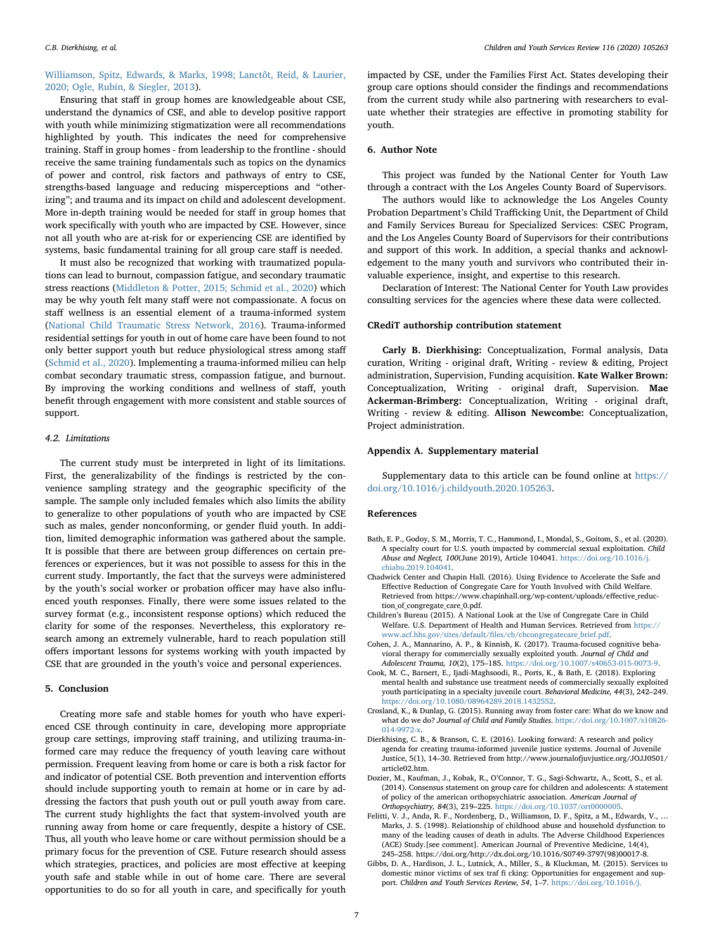# [Williamson, Spitz, Edwards, & Marks, 1998; Lanctôt, Reid, & Laurier,](#page-6-8) [2020; Ogle, Rubin, & Siegler, 2013\)](#page-6-8).

Ensuring that staff in group homes are knowledgeable about CSE, understand the dynamics of CSE, and able to develop positive rapport with youth while minimizing stigmatization were all recommendations highlighted by youth. This indicates the need for comprehensive training. Staff in group homes - from leadership to the frontline - should receive the same training fundamentals such as topics on the dynamics of power and control, risk factors and pathways of entry to CSE, strengths-based language and reducing misperceptions and "otherizing"; and trauma and its impact on child and adolescent development. More in-depth training would be needed for staff in group homes that work specifically with youth who are impacted by CSE. However, since not all youth who are at-risk for or experiencing CSE are identified by systems, basic fundamental training for all group care staff is needed.

It must also be recognized that working with traumatized populations can lead to burnout, compassion fatigue, and secondary traumatic stress reactions ([Middleton & Potter, 2015; Schmid et al., 2020\)](#page-7-9) which may be why youth felt many staff were not compassionate. A focus on staff wellness is an essential element of a trauma-informed system ([National Child Traumatic Stress Network, 2016](#page-7-10)). Trauma-informed residential settings for youth in out of home care have been found to not only better support youth but reduce physiological stress among staff ([Schmid et al., 2020](#page-7-11)). Implementing a trauma-informed milieu can help combat secondary traumatic stress, compassion fatigue, and burnout. By improving the working conditions and wellness of staff, youth benefit through engagement with more consistent and stable sources of support.

# 4.2. Limitations

The current study must be interpreted in light of its limitations. First, the generalizability of the findings is restricted by the convenience sampling strategy and the geographic specificity of the sample. The sample only included females which also limits the ability to generalize to other populations of youth who are impacted by CSE such as males, gender nonconforming, or gender fluid youth. In addition, limited demographic information was gathered about the sample. It is possible that there are between group differences on certain preferences or experiences, but it was not possible to assess for this in the current study. Importantly, the fact that the surveys were administered by the youth's social worker or probation officer may have also influenced youth responses. Finally, there were some issues related to the survey format (e.g., inconsistent response options) which reduced the clarity for some of the responses. Nevertheless, this exploratory research among an extremely vulnerable, hard to reach population still offers important lessons for systems working with youth impacted by CSE that are grounded in the youth's voice and personal experiences.

# 5. Conclusion

Creating more safe and stable homes for youth who have experienced CSE through continuity in care, developing more appropriate group care settings, improving staff training, and utilizing trauma-informed care may reduce the frequency of youth leaving care without permission. Frequent leaving from home or care is both a risk factor for and indicator of potential CSE. Both prevention and intervention efforts should include supporting youth to remain at home or in care by addressing the factors that push youth out or pull youth away from care. The current study highlights the fact that system-involved youth are running away from home or care frequently, despite a history of CSE. Thus, all youth who leave home or care without permission should be a primary focus for the prevention of CSE. Future research should assess which strategies, practices, and policies are most effective at keeping youth safe and stable while in out of home care. There are several opportunities to do so for all youth in care, and specifically for youth impacted by CSE, under the Families First Act. States developing their group care options should consider the findings and recommendations from the current study while also partnering with researchers to evaluate whether their strategies are effective in promoting stability for youth.

# 6. Author Note

This project was funded by the National Center for Youth Law through a contract with the Los Angeles County Board of Supervisors.

The authors would like to acknowledge the Los Angeles County Probation Department's Child Trafficking Unit, the Department of Child and Family Services Bureau for Specialized Services: CSEC Program, and the Los Angeles County Board of Supervisors for their contributions and support of this work. In addition, a special thanks and acknowledgement to the many youth and survivors who contributed their invaluable experience, insight, and expertise to this research.

Declaration of Interest: The National Center for Youth Law provides consulting services for the agencies where these data were collected.

#### CRediT authorship contribution statement

Carly B. Dierkhising: Conceptualization, Formal analysis, Data curation, Writing - original draft, Writing - review & editing, Project administration, Supervision, Funding acquisition. Kate Walker Brown: Conceptualization, Writing - original draft, Supervision. Mae Ackerman-Brimberg: Conceptualization, Writing - original draft, Writing - review & editing. Allison Newcombe: Conceptualization, Project administration.

# Appendix A. Supplementary material

Supplementary data to this article can be found online at [https://](https://doi.org/10.1016/j.childyouth.2020.105263) [doi.org/10.1016/j.childyouth.2020.105263.](https://doi.org/10.1016/j.childyouth.2020.105263)

# References

- <span id="page-6-1"></span>Bath, E. P., Godoy, S. M., Morris, T. C., Hammond, I., Mondal, S., Goitom, S., et al. (2020). A specialty court for U.S. youth impacted by commercial sexual exploitation. Child Abuse and Neglect, 100(June 2019), Article 104041. [https://doi.org/10.1016/j.](https://doi.org/10.1016/j.chiabu.2019.104041) [chiabu.2019.104041](https://doi.org/10.1016/j.chiabu.2019.104041).
- <span id="page-6-4"></span>Chadwick Center and Chapin Hall. (2016). Using Evidence to Accelerate the Safe and Effective Reduction of Congregate Care for Youth Involved with Child Welfare. Retrieved from https://www.chapinhall.org/wp-content/uploads/effective\_reduction\_of\_congregate\_care\_0.pdf.
- <span id="page-6-5"></span>Children's Bureau (2015). A National Look at the Use of Congregate Care in Child Welfare. U.S. Department of Health and Human Services. Retrieved from [https://](https://www.acf.hhs.gov/sites/default/files/cb/cbcongregatecare_brief.pdf) www.acf.hhs.gov/sites/default/fi[les/cb/cbcongregatecare\\_brief.pdf.](https://www.acf.hhs.gov/sites/default/files/cb/cbcongregatecare_brief.pdf)
- <span id="page-6-7"></span>Cohen, J. A., Mannarino, A. P., & Kinnish, K. (2017). Trauma-focused cognitive behavioral therapy for commercially sexually exploited youth. Journal of Child and Adolescent Trauma, 10(2), 175–185. <https://doi.org/10.1007/s40653-015-0073-9>.
- <span id="page-6-0"></span>Cook, M. C., Barnert, E., Ijadi-Maghsoodi, R., Ports, K., & Bath, E. (2018). Exploring mental health and substance use treatment needs of commercially sexually exploited youth participating in a specialty juvenile court. Behavioral Medicine, 44(3), 242–249. <https://doi.org/10.1080/08964289.2018.1432552>.
- <span id="page-6-3"></span>Crosland, K., & Dunlap, G. (2015). Running away from foster care: What do we know and what do we do? Journal of Child and Family Studies. [https://doi.org/10.1007/s10826-](https://doi.org/10.1007/s10826-014-9972-x) [014-9972-x.](https://doi.org/10.1007/s10826-014-9972-x)
- Dierkhising, C. B., & Branson, C. E. (2016). Looking forward: A research and policy agenda for creating trauma-informed juvenile justice systems. Journal of Juvenile Justice, 5(1), 14–30. Retrieved from http://www.journalofjuvjustice.org/JOJJ0501/ article02.htm.
- <span id="page-6-6"></span>Dozier, M., Kaufman, J., Kobak, R., O'Connor, T. G., Sagi-Schwartz, A., Scott, S., et al. (2014). Consensus statement on group care for children and adolescents: A statement of policy of the american orthopsychiatric association. American Journal of Orthopsychiatry, 84(3), 219–225. <https://doi.org/10.1037/ort0000005>.
- <span id="page-6-8"></span>Felitti, V. J., Anda, R. F., Nordenberg, D., Williamson, D. F., Spitz, a M., Edwards, V., … Marks, J. S. (1998). Relationship of childhood abuse and household dysfunction to many of the leading causes of death in adults. The Adverse Childhood Experiences (ACE) Study.[see comment]. American Journal of Preventive Medicine, 14(4), 245–258. https://doi.org/http://dx.doi.org/10.1016/S0749-3797(98)00017-8.
- <span id="page-6-2"></span>Gibbs, D. A., Hardison, J. L., Lutnick, A., Miller, S., & Kluckman, M. (2015). Services to domestic minor victims of sex traf fi cking: Opportunities for engagement and support. Children and Youth Services Review, 54, 1–7. [https://doi.org/10.1016/j.](https://doi.org/10.1016/j.childyouth.2015.04.003)